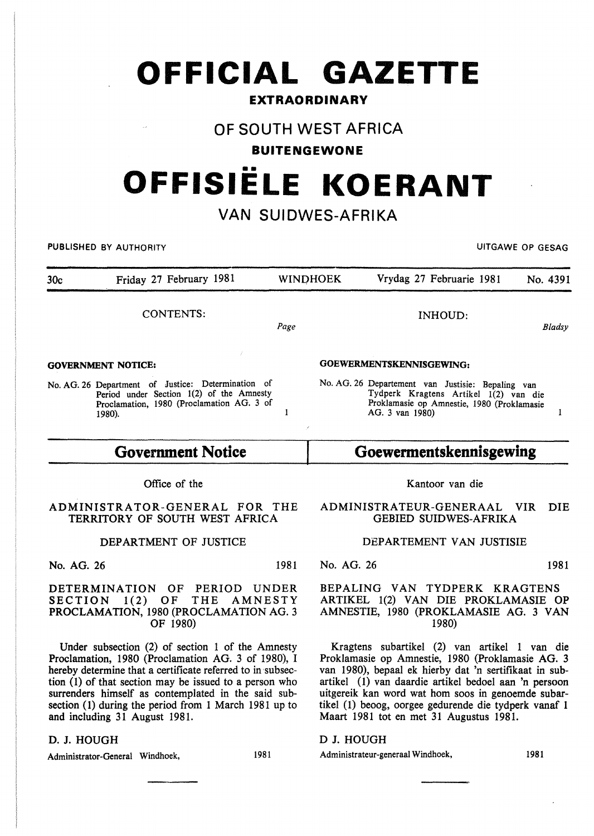# **OFFICIAL GAZETTE**

### **EXTRAORDINARY**

# **OF SOUTH WEST AFRICA**

## **BUITENGEWONE**

# •• **OFFISIELE KOERANT**

# **VAN SUIDWES-AFRIKA**

PUBLISHED BY AUTHORITY **International Contract Contract Contract Contract Contract Contract Contract Contract Contract Contract Contract Contract Contract Contract Contract Contract Contract Contract Contract Contract Cont** 

30c Friday 27 February 1981 WINO HOEK Vrydag 27 Februarie 1981 No. 4391 CONTENTS: INHOUD: Page *Bladsy*  GOEWERMENTSKENNISGEWING: GOVERNMENT NOTICE: No. AG. 26 Department of Justice: Determination of No. AG. 26 Departement van Justisie: Bepaling van Tydperk Kragtens Artikel 1(2) van die Period under Section 1(2) of the Amnesty Proclamation, 1980 (Proclamation AG. 3 of Proklamasie op Amnestie, 1980 (Proklamasie  $\mathbf{I}$ AG. 3 van 1980)  $\mathbf{I}$ 1980).

# **Goewermentskennisgewing**

### Office of the

**Government Notice** 

ADMINISTRATOR-GENERAL FOR THE TERRITORY OF SOUTH WEST AFRICA

### DEPARTMENT OF JUSTICE

No. AG. 26 1981

DETERMINATION OF PERIOD UNDER SECTION 1(2) OF THE AMNESTY PROCLAMATION, 1980 (PROCLAMATION AG. 3 OF 1980)

Under subsection (2) of section 1 of the Amnesty Proclamation, 1980 (Proclamation AG. 3 of 1980), I hereby determine that a certificate referred to in subsection (1) of that section may be issued to a person who surrenders himself as contemplated in the said subsection (1) during the period from 1 March 1981 up to and including 31 August 1981.

### D. J. HOUGH

Administrator-General Windhoek, 1981

ADMINISTRATEUR-GENERAAL VIR DIE GEBIED SUIDWES-AFRIKA

### DEPARTEMENT VAN JUSTISIE

No. AG. 26 1981

### BEPALING VAN TYDPERK KRAGTENS ARTIKEL 1(2) VAN DIE PROKLAMASIE OP AMNESTIE, 1980 (PROKLAMASIE AG. 3 VAN 1980)

Kragtens subartikel (2) van artikel 1 van die Proklamasie op Amnestie, 1980 (Proklamasie AG. 3 van 1980), bepaal ek hierby dat 'n sertifikaat in subartikel ( 1) van daardie artikel bedoel aan 'n persoon uitgereik kan word wat hom soos in genoemde subartikel (1) beoog, oorgee gedurende die tydperk vanaf 1 Maart 1981 tot en met 31 Augustus 1981.

### D J. HOUGH

Administrateur-generaal Windhoek, 1981

# Kantoor van die